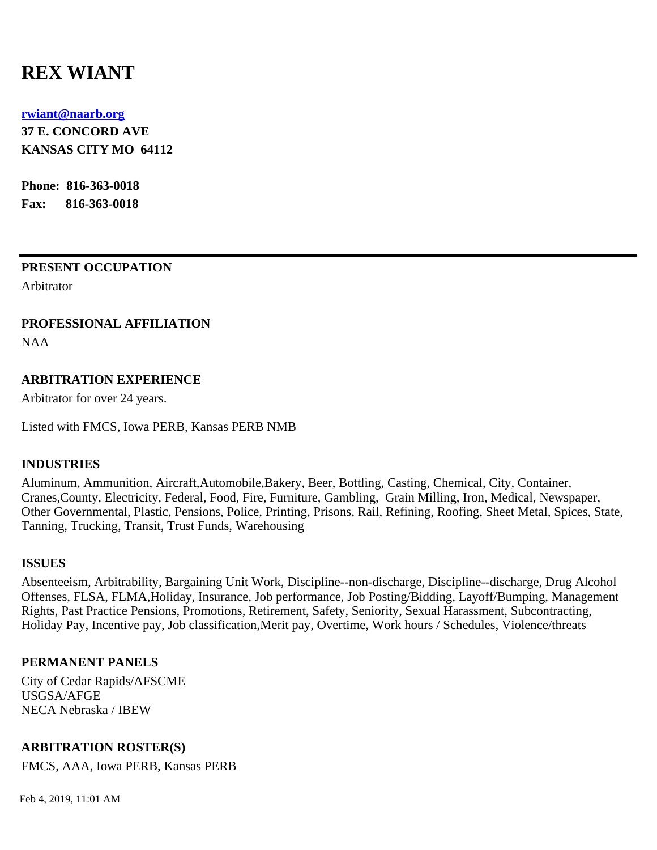# **REX WIANT**

#### **[rwiant@naarb.org](mailto:rwiant@naarb.org)**

**37 E. CONCORD AVE KANSAS CITY MO 64112**

**Phone: 816-363-0018 Fax: 816-363-0018**

#### **PRESENT OCCUPATION**

Arbitrator

## **PROFESSIONAL AFFILIATION**

NAA

## **ARBITRATION EXPERIENCE**

Arbitrator for over 24 years.

Listed with FMCS, Iowa PERB, Kansas PERB NMB

## **INDUSTRIES**

Aluminum, Ammunition, Aircraft,Automobile,Bakery, Beer, Bottling, Casting, Chemical, City, Container, Cranes,County, Electricity, Federal, Food, Fire, Furniture, Gambling, Grain Milling, Iron, Medical, Newspaper, Other Governmental, Plastic, Pensions, Police, Printing, Prisons, Rail, Refining, Roofing, Sheet Metal, Spices, State, Tanning, Trucking, Transit, Trust Funds, Warehousing

#### **ISSUES**

Absenteeism, Arbitrability, Bargaining Unit Work, Discipline--non-discharge, Discipline--discharge, Drug Alcohol Offenses, FLSA, FLMA,Holiday, Insurance, Job performance, Job Posting/Bidding, Layoff/Bumping, Management Rights, Past Practice Pensions, Promotions, Retirement, Safety, Seniority, Sexual Harassment, Subcontracting, Holiday Pay, Incentive pay, Job classification,Merit pay, Overtime, Work hours / Schedules, Violence/threats

## **PERMANENT PANELS**

City of Cedar Rapids/AFSCME USGSA/AFGE NECA Nebraska / IBEW

## **ARBITRATION ROSTER(S)**

FMCS, AAA, Iowa PERB, Kansas PERB

Feb 4, 2019, 11:01 AM